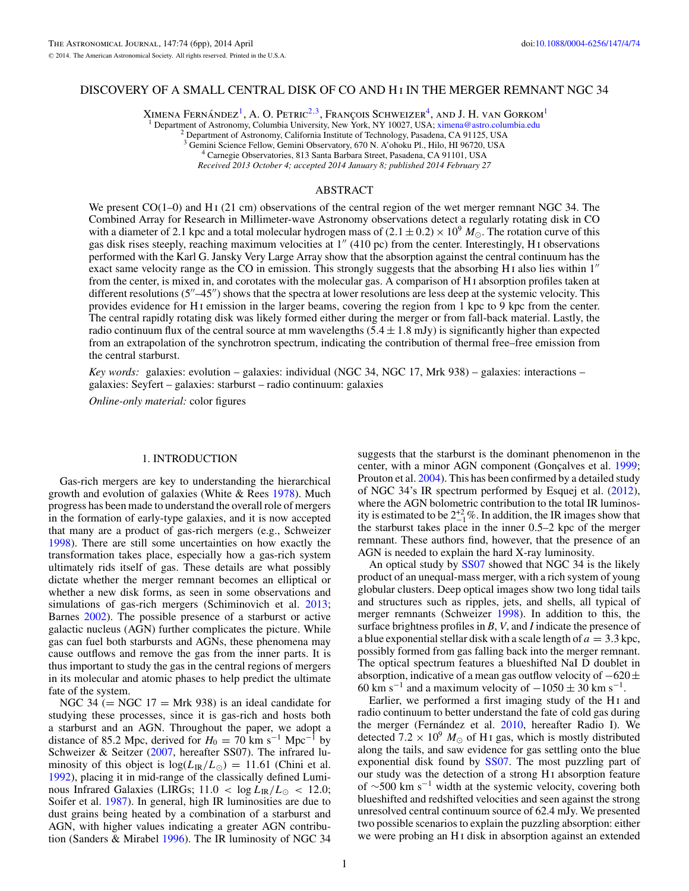# DISCOVERY OF A SMALL CENTRAL DISK OF CO AND HI IN THE MERGER REMNANT NGC 34

XIMENA FERNÁNDEZ<sup>1</sup>, A. O. PETRIC<sup>2,3</sup>, FRANÇOIS SCHWEIZER<sup>4</sup>, AND J. H. VAN GORKOM<sup>1</sup>

<sup>1</sup> Department of Astronomy, Columbia University, New York, NY 10027, USA; [ximena@astro.columbia.edu](mailto:ximena@astro.columbia.edu) <sup>2</sup> Department of Astronomy, California Institute of Technology, Pasadena, CA 91125, USA

<sup>3</sup> Gemini Science Fellow, Gemini Observatory, 670 N. A'ohoku Pl., Hilo, HI 96720, USA <sup>4</sup> Carnegie Observatories, 813 Santa Barbara Street, Pasadena, CA 91101, USA

*Received 2013 October 4; accepted 2014 January 8; published 2014 February 27*

# ABSTRACT

We present  $CO(1-0)$  and H<sub>I</sub> (21 cm) observations of the central region of the wet merger remnant NGC 34. The Combined Array for Research in Millimeter-wave Astronomy observations detect a regularly rotating disk in CO with a diameter of 2.1 kpc and a total molecular hydrogen mass of  $(2.1 \pm 0.2) \times 10^9$   $M_{\odot}$ . The rotation curve of this gas disk rises steeply, reaching maximum velocities at  $1''$  (410 pc) from the center. Interestingly, H<sub>I</sub> observations performed with the Karl G. Jansky Very Large Array show that the absorption against the central continuum has the exact same velocity range as the CO in emission. This strongly suggests that the absorbing H<sub>I</sub> also lies within  $1''$ from the center, is mixed in, and corotates with the molecular gas. A comparison of H i absorption profiles taken at different resolutions  $(5'' - 45'')$  shows that the spectra at lower resolutions are less deep at the systemic velocity. This provides evidence for H i emission in the larger beams, covering the region from 1 kpc to 9 kpc from the center. The central rapidly rotating disk was likely formed either during the merger or from fall-back material. Lastly, the radio continuum flux of the central source at mm wavelengths (5*.*4 ± 1*.*8 mJy) is significantly higher than expected from an extrapolation of the synchrotron spectrum, indicating the contribution of thermal free–free emission from the central starburst.

*Key words:* galaxies: evolution – galaxies: individual (NGC 34, NGC 17, Mrk 938) – galaxies: interactions – galaxies: Seyfert – galaxies: starburst – radio continuum: galaxies

*Online-only material:* color figures

# 1. INTRODUCTION

Gas-rich mergers are key to understanding the hierarchical growth and evolution of galaxies (White & Rees [1978\)](#page-5-0). Much progress has been made to understand the overall role of mergers in the formation of early-type galaxies, and it is now accepted that many are a product of gas-rich mergers (e.g., Schweizer [1998\)](#page-5-0). There are still some uncertainties on how exactly the transformation takes place, especially how a gas-rich system ultimately rids itself of gas. These details are what possibly dictate whether the merger remnant becomes an elliptical or whether a new disk forms, as seen in some observations and simulations of gas-rich mergers (Schiminovich et al. [2013;](#page-5-0) Barnes [2002\)](#page-5-0). The possible presence of a starburst or active galactic nucleus (AGN) further complicates the picture. While gas can fuel both starbursts and AGNs, these phenomena may cause outflows and remove the gas from the inner parts. It is thus important to study the gas in the central regions of mergers in its molecular and atomic phases to help predict the ultimate fate of the system.

NGC 34 ( $=$  NGC 17  $=$  Mrk 938) is an ideal candidate for studying these processes, since it is gas-rich and hosts both a starburst and an AGN. Throughout the paper, we adopt a distance of 85.2 Mpc, derived for  $H_0 = 70 \text{ km s}^{-1} \text{ Mpc}^{-1}$  by Schweizer & Seitzer [\(2007,](#page-5-0) hereafter SS07). The infrared luminosity of this object is  $\log(L_{\rm IR}/L_{\odot}) = 11.61$  (Chini et al. [1992\)](#page-5-0), placing it in mid-range of the classically defined Luminous Infrared Galaxies (LIRGs;  $11.0 < \log L_{\rm IR}/L_{\odot} < 12.0$ ; Soifer et al. [1987\)](#page-5-0). In general, high IR luminosities are due to dust grains being heated by a combination of a starburst and AGN, with higher values indicating a greater AGN contribution (Sanders & Mirabel [1996\)](#page-5-0). The IR luminosity of NGC 34

suggests that the starburst is the dominant phenomenon in the center, with a minor AGN component (Gonçalves et al. [1999;](#page-5-0) Prouton et al. [2004\)](#page-5-0). This has been confirmed by a detailed study of NGC 34's IR spectrum performed by Esquej et al. [\(2012\)](#page-5-0), where the AGN bolometric contribution to the total IR luminosity is estimated to be  $2^{+2}_{-1}$ %. In addition, the IR images show that the starburst takes place in the inner 0*.*5–2 kpc of the merger remnant. These authors find, however, that the presence of an AGN is needed to explain the hard X-ray luminosity.

An optical study by [SS07](#page-5-0) showed that NGC 34 is the likely product of an unequal-mass merger, with a rich system of young globular clusters. Deep optical images show two long tidal tails and structures such as ripples, jets, and shells, all typical of merger remnants (Schweizer [1998\)](#page-5-0). In addition to this, the surface brightness profiles in *B*, *V*, and *I* indicate the presence of a blue exponential stellar disk with a scale length of  $a = 3.3$  kpc, possibly formed from gas falling back into the merger remnant. The optical spectrum features a blueshifted NaI D doublet in absorption, indicative of a mean gas outflow velocity of  $-620±$ 60 km s<sup>-1</sup> and a maximum velocity of  $-1050 \pm 30$  km s<sup>-1</sup>.

Earlier, we performed a first imaging study of the H<sub>I</sub> and radio continuum to better understand the fate of cold gas during the merger (Fernández et al. [2010,](#page-5-0) hereafter Radio I). We detected  $7.2 \times 10^9$   $M_{\odot}$  of H<sub>I</sub> gas, which is mostly distributed along the tails, and saw evidence for gas settling onto the blue exponential disk found by [SS07.](#page-5-0) The most puzzling part of our study was the detection of a strong H i absorption feature of  $\sim$ 500 km s<sup>-1</sup> width at the systemic velocity, covering both blueshifted and redshifted velocities and seen against the strong unresolved central continuum source of 62.4 mJy. We presented two possible scenarios to explain the puzzling absorption: either we were probing an H<sub>I</sub> disk in absorption against an extended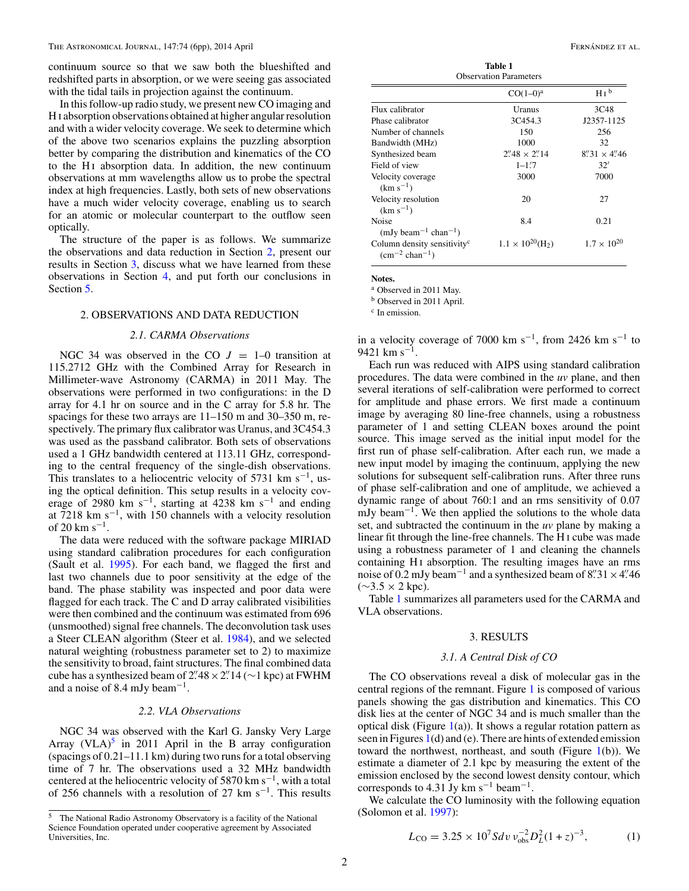<span id="page-1-0"></span>continuum source so that we saw both the blueshifted and redshifted parts in absorption, or we were seeing gas associated with the tidal tails in projection against the continuum.

In this follow-up radio study, we present new CO imaging and H i absorption observations obtained at higher angular resolution and with a wider velocity coverage. We seek to determine which of the above two scenarios explains the puzzling absorption better by comparing the distribution and kinematics of the CO to the H<sub>I</sub> absorption data. In addition, the new continuum observations at mm wavelengths allow us to probe the spectral index at high frequencies. Lastly, both sets of new observations have a much wider velocity coverage, enabling us to search for an atomic or molecular counterpart to the outflow seen optically.

The structure of the paper is as follows. We summarize the observations and data reduction in Section 2, present our results in Section 3, discuss what we have learned from these observations in Section [4,](#page-4-0) and put forth our conclusions in Section [5.](#page-4-0)

## 2. OBSERVATIONS AND DATA REDUCTION

### *2.1. CARMA Observations*

NGC 34 was observed in the CO  $J = 1-0$  transition at 115.2712 GHz with the Combined Array for Research in Millimeter-wave Astronomy (CARMA) in 2011 May. The observations were performed in two configurations: in the D array for 4.1 hr on source and in the C array for 5.8 hr. The spacings for these two arrays are 11–150 m and 30–350 m, respectively. The primary flux calibrator was Uranus, and 3C454.3 was used as the passband calibrator. Both sets of observations used a 1 GHz bandwidth centered at 113.11 GHz, corresponding to the central frequency of the single-dish observations. This translates to a heliocentric velocity of 5731 km s<sup>-1</sup>, using the optical definition. This setup results in a velocity coverage of 2980 km s<sup>-1</sup>, starting at 4238 km s<sup>-1</sup> and ending at 7218 km s−1, with 150 channels with a velocity resolution of 20 km s<sup> $-1$ </sup>.

The data were reduced with the software package MIRIAD using standard calibration procedures for each configuration (Sault et al. [1995\)](#page-5-0). For each band, we flagged the first and last two channels due to poor sensitivity at the edge of the band. The phase stability was inspected and poor data were flagged for each track. The C and D array calibrated visibilities were then combined and the continuum was estimated from 696 (unsmoothed) signal free channels. The deconvolution task uses a Steer CLEAN algorithm (Steer et al. [1984\)](#page-5-0), and we selected natural weighting (robustness parameter set to 2) to maximize the sensitivity to broad, faint structures. The final combined data cube has a synthesized beam of  $2$ <sup>2</sup>.  $48 \times 2$ <sup>2</sup>. 14 (∼1 kpc) at FWHM and a noise of 8.4 mJy beam−1.

#### *2.2. VLA Observations*

NGC 34 was observed with the Karl G. Jansky Very Large Array  $(VLA)^5$  in 2011 April in the B array configuration (spacings of 0*.*21–11*.*1 km) during two runs for a total observing time of 7 hr. The observations used a 32 MHz bandwidth centered at the heliocentric velocity of 5870 km s<sup> $-1$ </sup>, with a total of 256 channels with a resolution of 27 km s−1. This results

| таніс і<br><b>Observation Parameters</b>                                       |                                        |                      |
|--------------------------------------------------------------------------------|----------------------------------------|----------------------|
|                                                                                | $CO(1-0)^a$                            | H I <sup>b</sup>     |
| Flux calibrator                                                                | Uranus                                 | 3C48                 |
| Phase calibrator                                                               | 3C454.3                                | J2357-1125           |
| Number of channels                                                             | 150                                    | 256                  |
| Bandwidth (MHz)                                                                | 1000                                   | 32                   |
| Synthesized beam                                                               | $2''\cancel{48} \times 2''\cancel{14}$ | $8''31 \times 4''46$ |
| Field of view                                                                  | $1 - 1.7$                              | 32'                  |
| Velocity coverage<br>$(km s^{-1})$                                             | 3000                                   | 7000                 |
| Velocity resolution<br>$(km s^{-1})$                                           | 20                                     | 27                   |
| Noise<br>$(mJy beam^{-1} chan^{-1})$                                           | 8.4                                    | 0.21                 |
| Column density sensitivity <sup>c</sup><br>$\rm (cm^{-2}$ chan <sup>-1</sup> ) | $1.1 \times 10^{20}$ (H <sub>2</sub> ) | $1.7 \times 10^{20}$ |

**Table 1**

**Notes.**

<sup>a</sup> Observed in 2011 May.

<sup>b</sup> Observed in 2011 April.

<sup>c</sup> In emission.

in a velocity coverage of 7000 km s<sup>-1</sup>, from 2426 km s<sup>-1</sup> to 9421 km s<sup>-1</sup>.

Each run was reduced with AIPS using standard calibration procedures. The data were combined in the *uv* plane, and then several iterations of self-calibration were performed to correct for amplitude and phase errors. We first made a continuum image by averaging 80 line-free channels, using a robustness parameter of 1 and setting CLEAN boxes around the point source. This image served as the initial input model for the first run of phase self-calibration. After each run, we made a new input model by imaging the continuum, applying the new solutions for subsequent self-calibration runs. After three runs of phase self-calibration and one of amplitude, we achieved a dynamic range of about 760:1 and an rms sensitivity of 0.07 mJy beam<sup>-1</sup>. We then applied the solutions to the whole data set, and subtracted the continuum in the *uv* plane by making a linear fit through the line-free channels. The H i cube was made using a robustness parameter of 1 and cleaning the channels containing H<sub>I</sub> absorption. The resulting images have an rms noise of  $\overline{0.2}$  mJy beam<sup>-1</sup> and a synthesized beam of 8<sup>*n*</sup>. 31 × 4<sup>*n*</sup>. 46  $(\sim 3.5 \times 2 \text{ kpc})$ .

Table 1 summarizes all parameters used for the CARMA and VLA observations.

### 3. RESULTS

## *3.1. A Central Disk of CO*

The CO observations reveal a disk of molecular gas in the central regions of the remnant. Figure [1](#page-2-0) is composed of various panels showing the gas distribution and kinematics. This CO disk lies at the center of NGC 34 and is much smaller than the optical disk (Figure  $1(a)$  $1(a)$ ). It shows a regular rotation pattern as seen in Figures [1\(](#page-2-0)d) and (e). There are hints of extended emission toward the northwest, northeast, and south (Figure [1\(](#page-2-0)b)). We estimate a diameter of 2.1 kpc by measuring the extent of the emission enclosed by the second lowest density contour, which corresponds to 4.31 Jy km s<sup>-1</sup> beam<sup>-1</sup>.

We calculate the CO luminosity with the following equation (Solomon et al. [1997\)](#page-5-0):

$$
L_{\rm CO} = 3.25 \times 10^7 S dv \, v_{\rm obs}^{-2} D_L^2 (1+z)^{-3},\tag{1}
$$

<sup>5</sup> The National Radio Astronomy Observatory is a facility of the National Science Foundation operated under cooperative agreement by Associated Universities, Inc.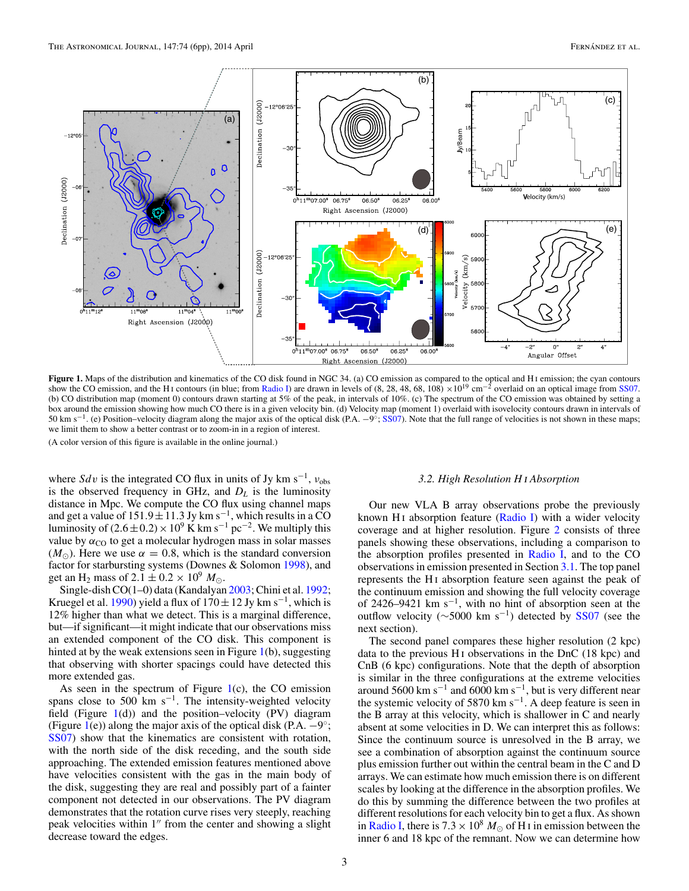<span id="page-2-0"></span>

Figure 1. Maps of the distribution and kinematics of the CO disk found in NGC 34. (a) CO emission as compared to the optical and H<sub>1</sub> emission; the cyan contours show the CO emission, and the H<sub>I</sub> contours (in blue; from [Radio I\)](#page-5-0) are drawn in levels of (8, 28, 48, 68, 108)  $\times 10^{19}$  cm<sup>-2</sup> overlaid on an optical image from [SS07.](#page-5-0) (b) CO distribution map (moment 0) contours drawn starting at 5% of the peak, in intervals of 10%. (c) The spectrum of the CO emission was obtained by setting a box around the emission showing how much CO there is in a given velocity bin. (d) Velocity map (moment 1) overlaid with isovelocity contours drawn in intervals of 50 km s<sup>-1</sup>. (e) Position–velocity diagram along the major axis of the optical disk (P.A.  $-9°$ ; [SS07\)](#page-5-0). Note that the full range of velocities is not shown in these maps; we limit them to show a better contrast or to zoom-in in a region of interest.

(A color version of this figure is available in the online journal.)

where *Sdv* is the integrated CO flux in units of Jy km s<sup>-1</sup>,  $v_{obs}$ is the observed frequency in GHz, and  $D<sub>L</sub>$  is the luminosity distance in Mpc. We compute the CO flux using channel maps and get a value of  $151.9 \pm 11.3$  Jy km s<sup>-1</sup>, which results in a CO luminosity of  $(2.6 \pm 0.2) \times 10^9$  K km s<sup>-1</sup> pc<sup>-2</sup>. We multiply this value by  $\alpha_{\text{CO}}$  to get a molecular hydrogen mass in solar masses  $(M_{\odot})$ . Here we use  $\alpha = 0.8$ , which is the standard conversion factor for starbursting systems (Downes & Solomon [1998\)](#page-5-0), and get an H<sub>2</sub> mass of  $2.1 \pm 0.2 \times 10^9$   $M_{\odot}$ .

Single-dish CO(1–0) data (Kandalyan [2003;](#page-5-0) Chini et al. [1992;](#page-5-0) Kruegel et al. [1990\)](#page-5-0) yield a flux of  $170 \pm 12$  Jy km s<sup>-1</sup>, which is 12% higher than what we detect. This is a marginal difference, but—if significant—it might indicate that our observations miss an extended component of the CO disk. This component is hinted at by the weak extensions seen in Figure 1(b), suggesting that observing with shorter spacings could have detected this more extended gas.

As seen in the spectrum of Figure  $1(c)$ , the CO emission spans close to 500 km s<sup> $-1$ </sup>. The intensity-weighted velocity field (Figure  $1(d)$ ) and the position–velocity (PV) diagram (Figure 1(e)) along the major axis of the optical disk (P.A.  $-9°$ ; [SS07\)](#page-5-0) show that the kinematics are consistent with rotation, with the north side of the disk receding, and the south side approaching. The extended emission features mentioned above have velocities consistent with the gas in the main body of the disk, suggesting they are real and possibly part of a fainter component not detected in our observations. The PV diagram demonstrates that the rotation curve rises very steeply, reaching peak velocities within  $1''$  from the center and showing a slight decrease toward the edges.

### *3.2. High Resolution H* <sup>i</sup> *Absorption*

Our new VLA B array observations probe the previously known H<sub>I</sub> absorption feature  $(Radio I)$  with a wider velocity coverage and at higher resolution. Figure [2](#page-3-0) consists of three panels showing these observations, including a comparison to the absorption profiles presented in [Radio I,](#page-5-0) and to the CO observations in emission presented in Section [3.1.](#page-1-0) The top panel represents the H<sub>I</sub> absorption feature seen against the peak of the continuum emission and showing the full velocity coverage of 2426–9421 km s<sup>-1</sup>, with no hint of absorption seen at the outflow velocity ( $\sim$ 5000 km s<sup>-1</sup>) detected by [SS07](#page-5-0) (see the next section).

The second panel compares these higher resolution (2 kpc) data to the previous  $H_1$  observations in the DnC (18 kpc) and CnB (6 kpc) configurations. Note that the depth of absorption is similar in the three configurations at the extreme velocities around 5600 km s<sup>-1</sup> and 6000 km s<sup>-1</sup>, but is very different near the systemic velocity of 5870 km s−1. A deep feature is seen in the B array at this velocity, which is shallower in C and nearly absent at some velocities in D. We can interpret this as follows: Since the continuum source is unresolved in the B array, we see a combination of absorption against the continuum source plus emission further out within the central beam in the C and D arrays. We can estimate how much emission there is on different scales by looking at the difference in the absorption profiles. We do this by summing the difference between the two profiles at different resolutions for each velocity bin to get a flux. As shown in [Radio I,](#page-5-0) there is  $7.3 \times 10^8$  *M*<sub> $\odot$ </sub> of H<sub>I</sub> in emission between the inner 6 and 18 kpc of the remnant. Now we can determine how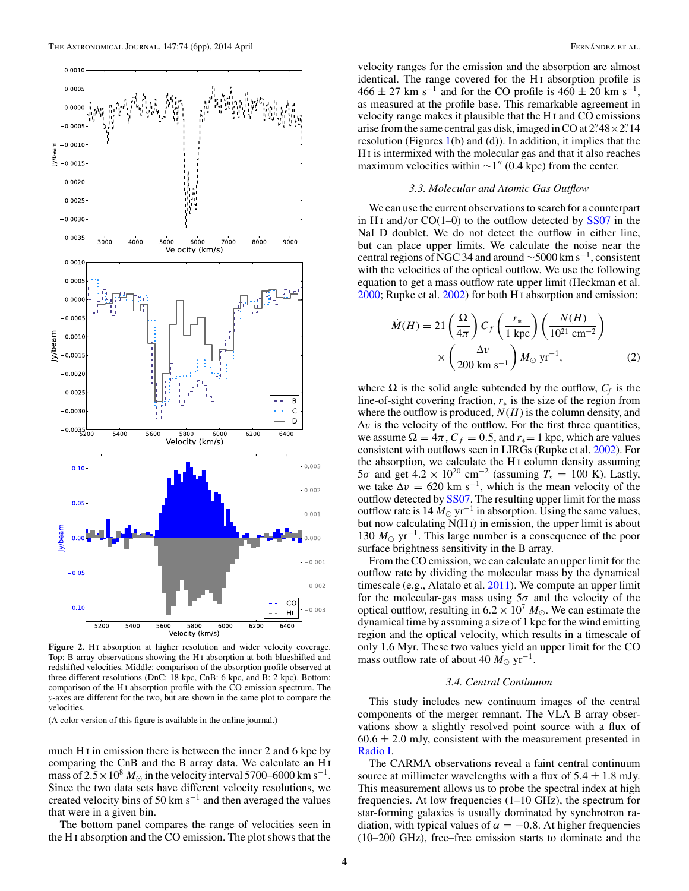<span id="page-3-0"></span>

Figure 2. H<sub>I</sub> absorption at higher resolution and wider velocity coverage. Top: B array observations showing the H i absorption at both blueshifted and redshifted velocities. Middle: comparison of the absorption profile observed at three different resolutions (DnC: 18 kpc, CnB: 6 kpc, and B: 2 kpc). Bottom: comparison of the H<sub>I</sub> absorption profile with the CO emission spectrum. The *y*-axes are different for the two, but are shown in the same plot to compare the velocities.

(A color version of this figure is available in the online journal.)

much H<sub>I</sub> in emission there is between the inner 2 and 6 kpc by comparing the CnB and the B array data. We calculate an H i mass of  $2.5 \times 10^8$  *M*<sub> $\odot$ </sub> in the velocity interval 5700–6000 km s<sup>-1</sup>. Since the two data sets have different velocity resolutions, we created velocity bins of 50 km s−<sup>1</sup> and then averaged the values that were in a given bin.

The bottom panel compares the range of velocities seen in the H i absorption and the CO emission. The plot shows that the

velocity ranges for the emission and the absorption are almost identical. The range covered for the H<sub>I</sub> absorption profile is  $466 \pm 27$  km s<sup>-1</sup> and for the CO profile is  $460 \pm 20$  km s<sup>-1</sup>, as measured at the profile base. This remarkable agreement in velocity range makes it plausible that the H i and CO emissions arise from the same central gas disk, imaged in CO at  $2^{1/48} \times 2^{1/14}$ resolution (Figures  $1(b)$  $1(b)$  and  $(d)$ ). In addition, it implies that the H i is intermixed with the molecular gas and that it also reaches maximum velocities within  $\sim$ 1" (0.4 kpc) from the center.

#### *3.3. Molecular and Atomic Gas Outflow*

We can use the current observations to search for a counterpart in H<sub>I</sub> and/or CO(1–0) to the outflow detected by [SS07](#page-5-0) in the NaI D doublet. We do not detect the outflow in either line, but can place upper limits. We calculate the noise near the central regions of NGC 34 and around  $\sim$ 5000 km s<sup>-1</sup>, consistent with the velocities of the optical outflow. We use the following equation to get a mass outflow rate upper limit (Heckman et al. [2000;](#page-5-0) Rupke et al. [2002\)](#page-5-0) for both H i absorption and emission:

$$
\dot{M}(H) = 21 \left(\frac{\Omega}{4\pi}\right) C_f \left(\frac{r_*}{1 \text{ kpc}}\right) \left(\frac{N(H)}{10^{21} \text{ cm}^{-2}}\right) \times \left(\frac{\Delta v}{200 \text{ km s}^{-1}}\right) M_{\odot} \text{ yr}^{-1},
$$
\n(2)

where  $\Omega$  is the solid angle subtended by the outflow,  $C_f$  is the line-of-sight covering fraction, *r*<sup>∗</sup> is the size of the region from where the outflow is produced,  $N(H)$  is the column density, and  $\Delta v$  is the velocity of the outflow. For the first three quantities, we assume  $\Omega = 4\pi$ ,  $C_f = 0.5$ , and  $r_* = 1$  kpc, which are values consistent with outflows seen in LIRGs (Rupke et al. [2002\)](#page-5-0). For the absorption, we calculate the H<sub>I</sub> column density assuming  $5\sigma$  and get  $4.2 \times 10^{20}$  cm<sup>-2</sup> (assuming  $T_s = 100$  K). Lastly, we take  $\Delta v = 620 \text{ km s}^{-1}$ , which is the mean velocity of the outflow detected by [SS07.](#page-5-0) The resulting upper limit for the mass outflow rate is  $14 M_{\odot}$  yr<sup>-1</sup> in absorption. Using the same values, but now calculating N(H<sub>I</sub>) in emission, the upper limit is about 130  $M_{\odot}$  yr<sup>-1</sup>. This large number is a consequence of the poor surface brightness sensitivity in the B array.

From the CO emission, we can calculate an upper limit for the outflow rate by dividing the molecular mass by the dynamical timescale (e.g., Alatalo et al. [2011\)](#page-5-0). We compute an upper limit for the molecular-gas mass using 5*σ* and the velocity of the optical outflow, resulting in  $6.2 \times 10^7$   $M_{\odot}$ . We can estimate the dynamical time by assuming a size of 1 kpc for the wind emitting region and the optical velocity, which results in a timescale of only 1.6 Myr. These two values yield an upper limit for the CO mass outflow rate of about 40  $M_{\odot}$  yr<sup>-1</sup>.

#### *3.4. Central Continuum*

This study includes new continuum images of the central components of the merger remnant. The VLA B array observations show a slightly resolved point source with a flux of  $60.6 \pm 2.0$  mJy, consistent with the measurement presented in [Radio I.](#page-5-0)

The CARMA observations reveal a faint central continuum source at millimeter wavelengths with a flux of  $5.4 \pm 1.8$  mJy. This measurement allows us to probe the spectral index at high frequencies. At low frequencies (1–10 GHz), the spectrum for star-forming galaxies is usually dominated by synchrotron radiation, with typical values of  $\alpha = -0.8$ . At higher frequencies (10–200 GHz), free–free emission starts to dominate and the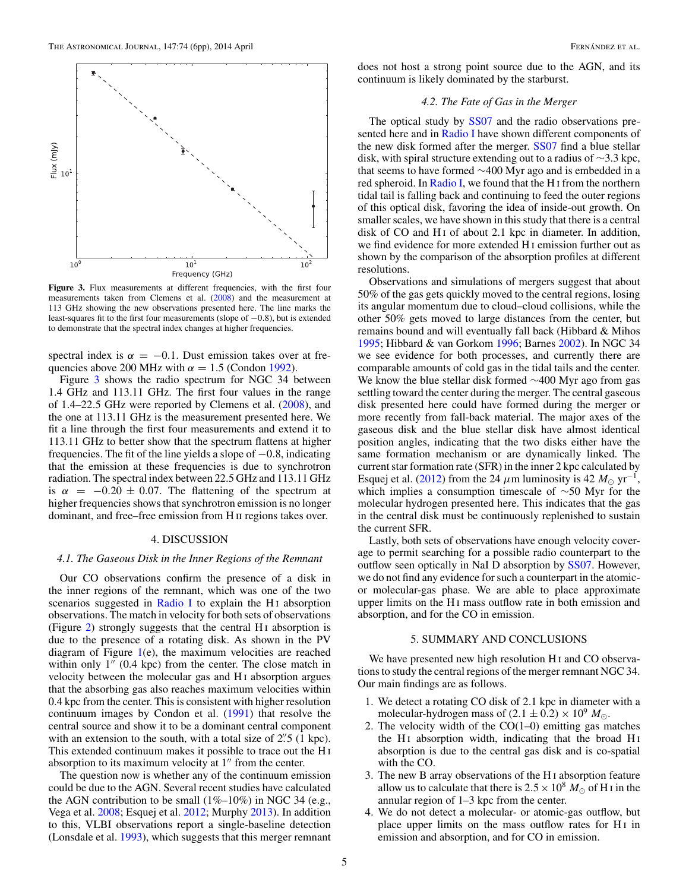$\frac{1}{2}$  and  $\frac{1}{2}$  and  $\frac{1}{2}$ 

<span id="page-4-0"></span>



Figure 3. Flux measurements at different frequencies, with the first four measurements taken from Clemens et al. [\(2008\)](#page-5-0) and the measurement at 113 GHz showing the new observations presented here. The line marks the least-squares fit to the first four measurements (slope of −0*.*8), but is extended to demonstrate that the spectral index changes at higher frequencies.

spectral index is  $\alpha = -0.1$ . Dust emission takes over at frequencies above 200 MHz with  $\alpha = 1.5$  (Condon [1992\)](#page-5-0).

Figure 3 shows the radio spectrum for NGC 34 between 1.4 GHz and 113.11 GHz. The first four values in the range of 1*.*4–22*.*5 GHz were reported by Clemens et al. [\(2008\)](#page-5-0), and the one at 113.11 GHz is the measurement presented here. We fit a line through the first four measurements and extend it to 113.11 GHz to better show that the spectrum flattens at higher frequencies. The fit of the line yields a slope of −0*.*8, indicating that the emission at these frequencies is due to synchrotron radiation. The spectral index between 22.5 GHz and 113.11 GHz is  $\alpha$  =  $-0.20 \pm 0.07$ . The flattening of the spectrum at higher frequencies shows that synchrotron emission is no longer dominant, and free–free emission from H ii regions takes over.

### 4. DISCUSSION

### *4.1. The Gaseous Disk in the Inner Regions of the Remnant*

Our CO observations confirm the presence of a disk in the inner regions of the remnant, which was one of the two scenarios suggested in [Radio I](#page-5-0) to explain the H<sub>I</sub> absorption observations. The match in velocity for both sets of observations (Figure [2\)](#page-3-0) strongly suggests that the central  $H_1$  absorption is due to the presence of a rotating disk. As shown in the PV diagram of Figure [1\(](#page-2-0)e), the maximum velocities are reached within only  $1''$  (0.4 kpc) from the center. The close match in velocity between the molecular gas and H<sub>I</sub> absorption argues that the absorbing gas also reaches maximum velocities within 0.4 kpc from the center. This is consistent with higher resolution continuum images by Condon et al. [\(1991\)](#page-5-0) that resolve the central source and show it to be a dominant central component with an extension to the south, with a total size of  $2\rlap.{''}5$  (1 kpc). This extended continuum makes it possible to trace out the H i absorption to its maximum velocity at  $1<sup>''</sup>$  from the center.

The question now is whether any of the continuum emission could be due to the AGN. Several recent studies have calculated the AGN contribution to be small  $(1\% - 10\%)$  in NGC 34 (e.g., Vega et al. [2008;](#page-5-0) Esquej et al. [2012;](#page-5-0) Murphy [2013\)](#page-5-0). In addition to this, VLBI observations report a single-baseline detection (Lonsdale et al. [1993\)](#page-5-0), which suggests that this merger remnant does not host a strong point source due to the AGN, and its continuum is likely dominated by the starburst.

## *4.2. The Fate of Gas in the Merger*

The optical study by [SS07](#page-5-0) and the radio observations pre-sented here and in [Radio I](#page-5-0) have shown different components of the new disk formed after the merger. [SS07](#page-5-0) find a blue stellar disk, with spiral structure extending out to a radius of ∼3.3 kpc, that seems to have formed  $\sim$ 400 Myr ago and is embedded in a red spheroid. In [Radio I,](#page-5-0) we found that the H i from the northern tidal tail is falling back and continuing to feed the outer regions of this optical disk, favoring the idea of inside-out growth. On smaller scales, we have shown in this study that there is a central disk of CO and H<sub>I</sub> of about 2.1 kpc in diameter. In addition, we find evidence for more extended H i emission further out as shown by the comparison of the absorption profiles at different resolutions.

Observations and simulations of mergers suggest that about 50% of the gas gets quickly moved to the central regions, losing its angular momentum due to cloud–cloud collisions, while the other 50% gets moved to large distances from the center, but remains bound and will eventually fall back (Hibbard & Mihos [1995;](#page-5-0) Hibbard & van Gorkom [1996;](#page-5-0) Barnes [2002\)](#page-5-0). In NGC 34 we see evidence for both processes, and currently there are comparable amounts of cold gas in the tidal tails and the center. We know the blue stellar disk formed ∼400 Myr ago from gas settling toward the center during the merger. The central gaseous disk presented here could have formed during the merger or more recently from fall-back material. The major axes of the gaseous disk and the blue stellar disk have almost identical position angles, indicating that the two disks either have the same formation mechanism or are dynamically linked. The current star formation rate (SFR) in the inner 2 kpc calculated by Esquej et al. [\(2012\)](#page-5-0) from the 24  $\mu$ m luminosity is 42  $M_{\odot}$  yr<sup>-1</sup>, which implies a consumption timescale of ∼50 Myr for the molecular hydrogen presented here. This indicates that the gas in the central disk must be continuously replenished to sustain the current SFR.

Lastly, both sets of observations have enough velocity coverage to permit searching for a possible radio counterpart to the outflow seen optically in NaI D absorption by [SS07.](#page-5-0) However, we do not find any evidence for such a counterpart in the atomicor molecular-gas phase. We are able to place approximate upper limits on the H<sub>I</sub> mass outflow rate in both emission and absorption, and for the CO in emission.

### 5. SUMMARY AND CONCLUSIONS

We have presented new high resolution H<sub>I</sub> and CO observations to study the central regions of the merger remnant NGC 34. Our main findings are as follows.

- 1. We detect a rotating CO disk of 2.1 kpc in diameter with a molecular-hydrogen mass of  $(2.1 \pm 0.2) \times 10^9$   $M_{\odot}$ .
- 2. The velocity width of the  $CO(1-0)$  emitting gas matches the H<sub>I</sub> absorption width, indicating that the broad  $H<sub>I</sub>$ absorption is due to the central gas disk and is co-spatial with the CO.
- 3. The new B array observations of the H i absorption feature allow us to calculate that there is  $2.5 \times 10^8$  *M* of H I in the annular region of 1–3 kpc from the center.
- 4. We do not detect a molecular- or atomic-gas outflow, but place upper limits on the mass outflow rates for H<sub>I</sub> in emission and absorption, and for CO in emission.